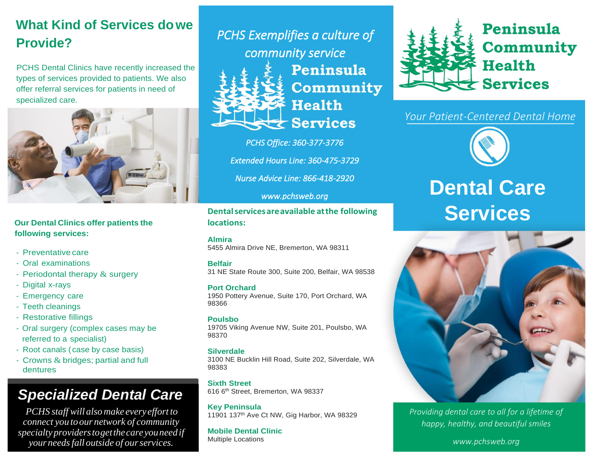# **What Kind of Services dowe Provide?**

PCHS Dental Clinics have recently increased the types of services provided to patients. We also offer referral services for patients in need of specialized care.



**Our Dental Clinics offer patients the following services:**

- Preventative care
- Oral examinations
- Periodontal therapy  $&$  surgery
- Digital x-rays
- Emergency care
- Teeth cleanings
- Restorative fillings
- Oral surgery (complex cases may be referred to a specialist)
- Root canals (case by case basis)
- Crowns & bridges; partial and full dentures

# *Specialized Dental Care*

*PCHS staff will alsomake every effort to connect you toour network of community specialty providerstogetthecareyouneedif your needsfall outside of ourservices.*

*PCHS Exemplifies a culture of community service*  Peninsula Community **Health** 

**Services** 

*PCHS Office: 360-377-3776* 

*Extended Hours Line: 360-475-3729* 

*Nurse Advice Line: 866-418-2920* 

#### *www.pchsweb.org*

**Dentalservicesareavailable atthe following locations:**

#### **Almira**

5455 Almira Drive NE, Bremerton, WA 98311

#### **Belfair**

31 NE State Route 300, Suite 200, Belfair, WA 98538

#### **Port Orchard**

1950 Pottery Avenue, Suite 170, Port Orchard, WA 98366

#### **Poulsbo**

19705 Viking Avenue NW, Suite 201, Poulsbo, WA 98370

#### **Silverdale**

3100 NE Bucklin Hill Road, Suite 202, Silverdale, WA 98383

**Sixth Street** 616 6th Street, Bremerton, WA 98337

**Key Peninsula** 11901 137th Ave Ct NW, Gig Harbor, WA 98329

**Mobile Dental Clinic** Multiple Locations



*Your Patient-Centered Dental Home*



# **Dental Care Services**



*Providing dental care to all for a lifetime of happy, healthy, and beautiful smiles*

*www.pchsweb.org*